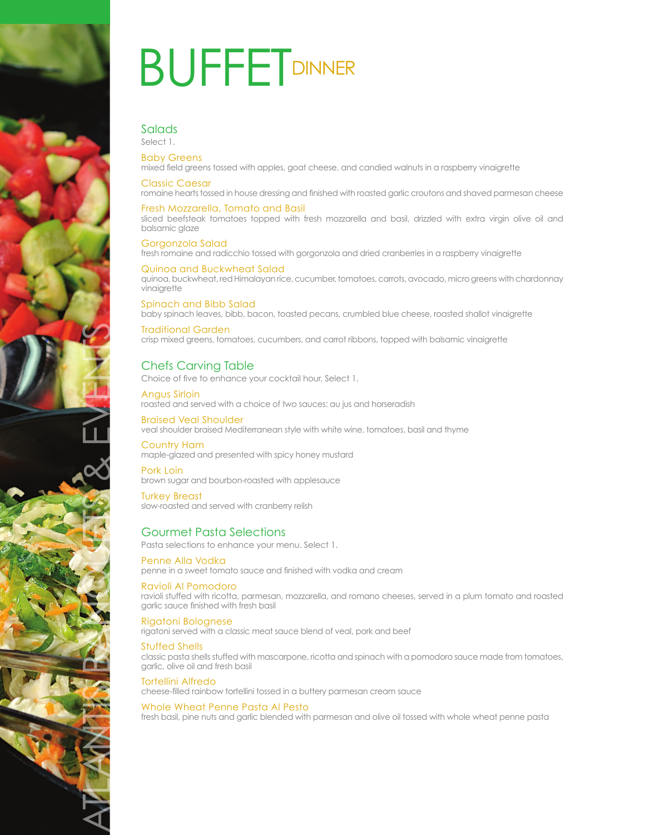

# **BUFFETDINNER**

# Salads

Select 1. Baby Greens

mixed field greens tossed with apples, goat cheese, and candied walnuts in a raspberry vinaigrette

## Classic Caesar

romaine hearts tossed in house dressing and finished with roasted garlic croutons and shaved parmesan cheese

#### Fresh Mozzarella, Tomato and Basil

sliced beefsteak tomatoes topped with fresh mozzarella and basil, drizzled with extra virgin olive oil and balsamic glaze

Gorgonzola Salad fresh romaine and radicchio tossed with gorgonzola and dried cranberries in a raspberry vinaigrette

#### Quinoa and Buckwheat Salad

quinoa, buckwheat, red Himalayan rice, cucumber, tomatoes, carrots, avocado, micro greens with chardonnay vinaigrette

#### Spinach and Bibb Salad baby spinach leaves, bibb, bacon, toasted pecans, crumbled blue cheese, roasted shallot vinaigrette

Traditional Garden crisp mixed greens, tomatoes, cucumbers, and carrot ribbons, topped with balsamic vinaigrette

## Chefs Carving Table

Choice of five to enhance your cocktail hour. Select 1.

#### Angus Sirloin

roasted and served with a choice of two sauces: au jus and horseradish

Braised Veal Shoulder veal shoulder braised Mediterranean style with white wine, tomatoes, basil and thyme

### Country Ham

maple-glazed and presented with spicy honey mustard

Pork Loin brown sugar and bourbon-roasted with applesauce

Turkey Breast slow-roasted and served with cranberry relish

## Gourmet Pasta Selections

Pasta selections to enhance your menu. Select 1.

Penne Alla Vodka penne in a sweet tomato sauce and finished with vodka and cream

#### Ravioli Al Pomodoro ravioli stuffed with ricotta, parmesan, mozzarella, and romano cheeses, served in a plum tomato and roasted garlic sauce finished with fresh basil

Rigatoni Bolognese rigatoni served with a classic meat sauce blend of veal, pork and beef

### Stuffed Shells

classic pasta shells stuffed with mascarpone, ricotta and spinach with a pomodoro sauce made from tomatoes, garlic, olive oil and fresh basil

#### Tortellini Alfredo

cheese-filled rainbow tortellini tossed in a buttery parmesan cream sauce

### Whole Wheat Penne Pasta Al Pesto

fresh basil, pine nuts and garlic blended with parmesan and olive oil tossed with whole wheat penne pasta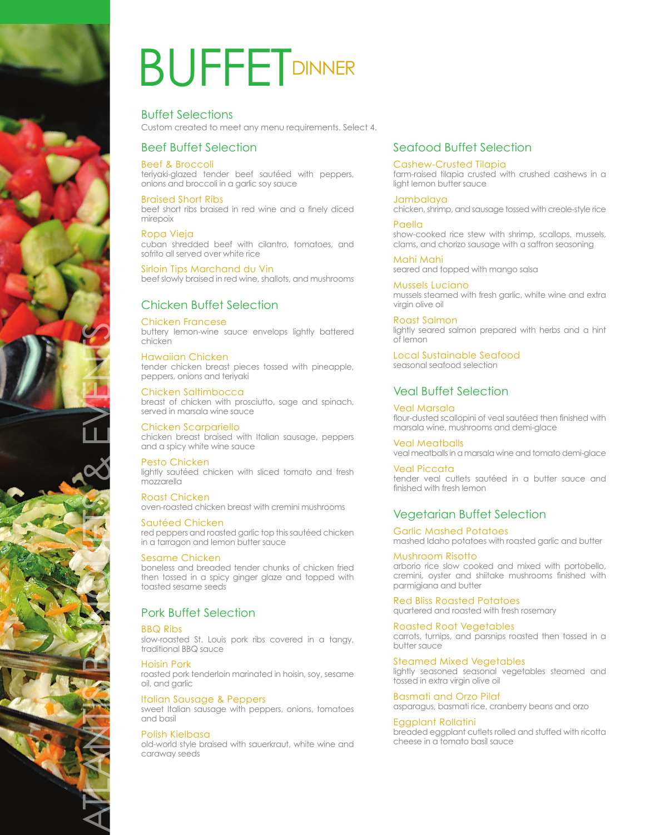

# **BUFFETDINNER**

Buffet Selections Custom created to meet any menu requirements. Select 4.

## Beef Buffet Selection

#### Beef & Broccoli

teriyaki-glazed tender beef sautéed with peppers, onions and broccoli in a garlic soy sauce

Braised Short Ribs beef short ribs braised in red wine and a finely diced mirepoix

#### Ropa Vieja

cuban shredded beef with cilantro, tomatoes, and sofrito all served over white rice

Sirloin Tips Marchand du Vin beef slowly braised in red wine, shallots, and mushrooms

## Chicken Buffet Selection

#### Chicken Francese

buttery lemon-wine sauce envelops lightly battered chicken

#### Hawaiian Chicken

tender chicken breast pieces tossed with pineapple, peppers, onions and teriyaki

Chicken Saltimbocca breast of chicken with prosciutto, sage and spinach, served in marsala wine sauce

Chicken Scarpariello chicken breast braised with Italian sausage, peppers and a spicy white wine sauce

#### Pesto Chicken

lightly sautéed chicken with sliced tomato and fresh mozzarella

Roast Chicken

oven-roasted chicken breast with cremini mushrooms

Sautéed Chicken red peppers and roasted garlic top this sautéed chicken in a tarragon and lemon butter sauce

#### Sesame Chicken

boneless and breaded tender chunks of chicken fried then tossed in a spicy ginger glaze and topped with toasted sesame seeds

## Pork Buffet Selection

#### BBQ Ribs

slow-roasted St. Louis pork ribs covered in a tangy, traditional BBQ sauce

#### Hoisin Pork

roasted pork tenderloin marinated in hoisin, soy, sesame oil, and garlic

#### Italian Sausage & Peppers

sweet Italian sausage with peppers, onions, tomatoes and basil

#### Polish Kielbasa

old-world style braised with sauerkraut, white wine and caraway seeds

## Seafood Buffet Selection

#### Cashew-Crusted Tilapia

farm-raised tilapia crusted with crushed cashews in a light lemon butter sauce

#### Jambalaya

chicken, shrimp, and sausage tossed with creole-style rice

Paella show-cooked rice stew with shrimp, scallops, mussels, clams, and chorizo sausage with a saffron seasoning

Mahi Mahi seared and topped with mango salsa

Mussels Luciano mussels steamed with fresh garlic, white wine and extra virgin olive oil

Roast Salmon lightly seared salmon prepared with herbs and a hint of lemon

Local Sustainable Seafood seasonal seafood selection

## Veal Buffet Selection

Veal Marsala flour-dusted scallopini of veal sautéed then finished with marsala wine, mushrooms and demi-glace

Veal Meatballs veal meatballs in a marsala wine and tomato demi-glace

Veal Piccata tender veal cutlets sautéed in a butter sauce and finished with fresh lemon

## Vegetarian Buffet Selection

Garlic Mashed Potatoes mashed Idaho potatoes with roasted garlic and butter

#### Mushroom Risotto

arborio rice slow cooked and mixed with portobello, cremini, oyster and shiitake mushrooms finished with parmigiana and butter

Red Bliss Roasted Potatoes quartered and roasted with fresh rosemary

Roasted Root Vegetables

carrots, turnips, and parsnips roasted then tossed in a butter sauce

Steamed Mixed Vegetables

lightly seasoned seasonal vegetables steamed and tossed in extra virgin olive oil

Basmati and Orzo Pilaf asparagus, basmati rice, cranberry beans and orzo

## Eggplant Rollatini

breaded eggplant cutlets rolled and stuffed with ricotta cheese in a tomato basil sauce